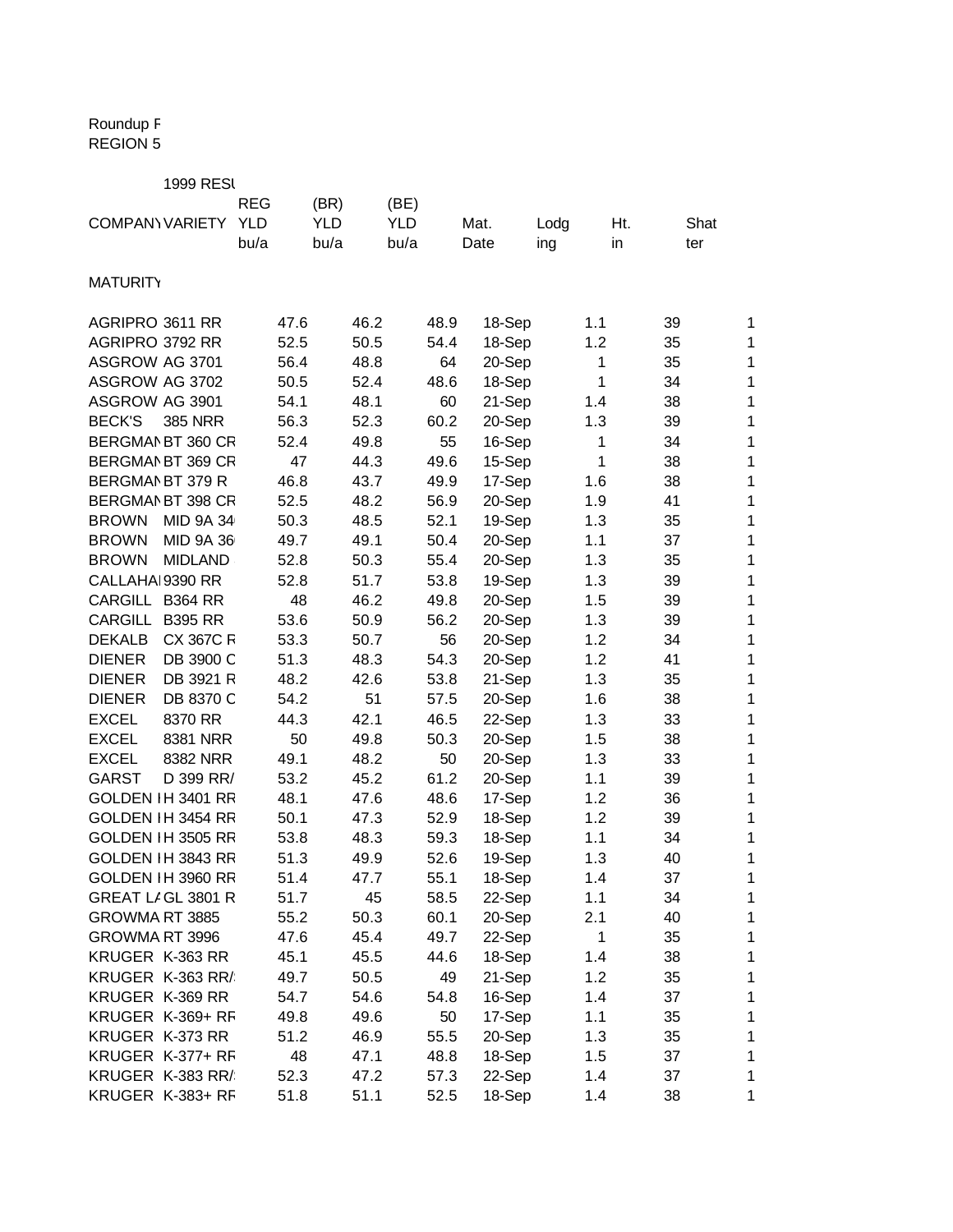## Roundup F REGION 5

|                        | <b>1999 RESI</b>  |            |      |            |      |            |      |        |      |              |      |              |
|------------------------|-------------------|------------|------|------------|------|------------|------|--------|------|--------------|------|--------------|
|                        |                   | <b>REG</b> |      | (BR)       |      | (BE)       |      |        |      |              |      |              |
| <b>COMPANY VARIETY</b> |                   | <b>YLD</b> |      | <b>YLD</b> |      | <b>YLD</b> |      | Mat.   | Lodg | Ht.          | Shat |              |
|                        |                   | bu/a       |      | bu/a       |      | bu/a       |      | Date   | ing  | in           | ter  |              |
| <b>MATURITY</b>        |                   |            |      |            |      |            |      |        |      |              |      |              |
| AGRIPRO 3611 RR        |                   |            | 47.6 |            | 46.2 |            | 48.9 | 18-Sep |      | 1.1          | 39   | 1            |
| AGRIPRO 3792 RR        |                   |            | 52.5 |            | 50.5 |            | 54.4 | 18-Sep |      | 1.2          | 35   | $\mathbf 1$  |
| ASGROW AG 3701         |                   |            | 56.4 |            | 48.8 |            | 64   | 20-Sep |      | 1            | 35   | $\mathbf 1$  |
| ASGROW AG 3702         |                   |            | 50.5 |            | 52.4 |            | 48.6 | 18-Sep |      | 1            | 34   | 1            |
| ASGROW AG 3901         |                   |            | 54.1 |            | 48.1 |            | 60   | 21-Sep |      | 1.4          | 38   | 1            |
| <b>BECK'S</b>          | <b>385 NRR</b>    |            | 56.3 |            | 52.3 |            | 60.2 | 20-Sep |      | 1.3          | 39   | $\mathbf 1$  |
|                        | BERGMAN BT 360 CR |            | 52.4 |            | 49.8 |            | 55   | 16-Sep |      | 1            | 34   | $\mathbf 1$  |
|                        | BERGMAN BT 369 CR |            | 47   |            | 44.3 |            | 49.6 | 15-Sep |      | 1            | 38   | $\mathbf{1}$ |
| BERGMAN BT 379 R       |                   |            | 46.8 |            | 43.7 |            | 49.9 | 17-Sep |      | 1.6          | 38   | $\mathbf 1$  |
|                        | BERGMAN BT 398 CR |            | 52.5 |            | 48.2 |            | 56.9 | 20-Sep |      | 1.9          | 41   | $\mathbf 1$  |
| <b>BROWN</b>           | <b>MID 9A 34</b>  |            | 50.3 |            | 48.5 |            | 52.1 | 19-Sep |      | 1.3          | 35   | $\mathbf 1$  |
| <b>BROWN</b>           | MID 9A 36         |            | 49.7 |            | 49.1 |            | 50.4 | 20-Sep |      | 1.1          | 37   | 1            |
| <b>BROWN</b>           | <b>MIDLAND</b>    |            | 52.8 |            | 50.3 |            | 55.4 | 20-Sep |      | 1.3          | 35   | 1            |
| CALLAHAI 9390 RR       |                   |            | 52.8 |            | 51.7 |            | 53.8 | 19-Sep |      | 1.3          | 39   | $\mathbf 1$  |
| CARGILL B364 RR        |                   |            | 48   |            | 46.2 |            | 49.8 | 20-Sep |      | 1.5          | 39   | $\mathbf 1$  |
| <b>CARGILL</b>         | <b>B395 RR</b>    |            | 53.6 |            | 50.9 |            | 56.2 | 20-Sep |      | 1.3          | 39   | $\mathbf{1}$ |
| <b>DEKALB</b>          | CX 367C R         |            | 53.3 |            | 50.7 |            | 56   | 20-Sep |      | 1.2          | 34   | $\mathbf 1$  |
| <b>DIENER</b>          | DB 3900 C         |            | 51.3 |            | 48.3 |            | 54.3 | 20-Sep |      | 1.2          | 41   | $\mathbf 1$  |
| <b>DIENER</b>          | DB 3921 R         |            | 48.2 |            | 42.6 |            | 53.8 | 21-Sep |      | 1.3          | 35   | $\mathbf 1$  |
| <b>DIENER</b>          | DB 8370 C         |            | 54.2 |            | 51   |            | 57.5 | 20-Sep |      | 1.6          | 38   | 1            |
| <b>EXCEL</b>           | 8370 RR           |            | 44.3 |            | 42.1 |            | 46.5 | 22-Sep |      | 1.3          | 33   | 1            |
| <b>EXCEL</b>           | 8381 NRR          |            | 50   |            | 49.8 |            | 50.3 | 20-Sep |      | 1.5          | 38   | $\mathbf 1$  |
| <b>EXCEL</b>           | 8382 NRR          |            | 49.1 |            | 48.2 |            | 50   | 20-Sep |      | 1.3          | 33   | $\mathbf 1$  |
| <b>GARST</b>           | D 399 RR/         |            | 53.2 |            | 45.2 |            | 61.2 | 20-Sep |      | 1.1          | 39   | $\mathbf{1}$ |
|                        | GOLDEN IH 3401 RR |            | 48.1 |            | 47.6 |            | 48.6 | 17-Sep |      | 1.2          | 36   | $\mathbf 1$  |
|                        | GOLDEN IH 3454 RR |            | 50.1 |            | 47.3 |            | 52.9 | 18-Sep |      | 1.2          | 39   | $\mathbf 1$  |
|                        | GOLDEN IH 3505 RR |            | 53.8 |            | 48.3 |            | 59.3 | 18-Sep |      | 1.1          | 34   | 1            |
|                        | GOLDEN IH 3843 RR |            | 51.3 |            | 49.9 |            | 52.6 | 19-Sep |      | 1.3          | 40   | 1            |
|                        | GOLDEN IH 3960 RR |            | 51.4 |            | 47.7 |            | 55.1 | 18-Sep |      | 1.4          | 37   | 1            |
|                        | GREAT L/GL 3801 R |            | 51.7 |            | 45   |            | 58.5 | 22-Sep |      | 1.1          | 34   | 1            |
| GROWMA RT 3885         |                   |            | 55.2 |            | 50.3 |            | 60.1 | 20-Sep |      | 2.1          | 40   | $\mathbf 1$  |
| GROWMA RT 3996         |                   |            | 47.6 |            | 45.4 |            | 49.7 | 22-Sep |      | $\mathbf{1}$ | 35   | $\mathbf{1}$ |
| KRUGER K-363 RR        |                   |            | 45.1 |            | 45.5 |            | 44.6 | 18-Sep |      | 1.4          | 38   | $\mathbf{1}$ |
|                        | KRUGER K-363 RR/  |            | 49.7 |            | 50.5 |            | 49   | 21-Sep |      | 1.2          | 35   | 1            |
| KRUGER K-369 RR        |                   |            | 54.7 |            | 54.6 |            | 54.8 | 16-Sep |      | 1.4          | 37   | 1            |
|                        | KRUGER K-369+ RF  |            | 49.8 |            | 49.6 |            | 50   | 17-Sep |      | 1.1          | 35   | 1            |
| KRUGER K-373 RR        |                   |            | 51.2 |            | 46.9 |            | 55.5 | 20-Sep |      | 1.3          | 35   | 1            |
|                        | KRUGER K-377+ RF  |            | 48   |            | 47.1 |            | 48.8 | 18-Sep |      | 1.5          | 37   | $\mathbf{1}$ |
|                        | KRUGER K-383 RR/  |            | 52.3 |            | 47.2 |            | 57.3 | 22-Sep |      | 1.4          | 37   | $\mathbf{1}$ |
|                        | KRUGER K-383+ RF  |            | 51.8 |            | 51.1 |            | 52.5 | 18-Sep |      | 1.4          | 38   | $\mathbf 1$  |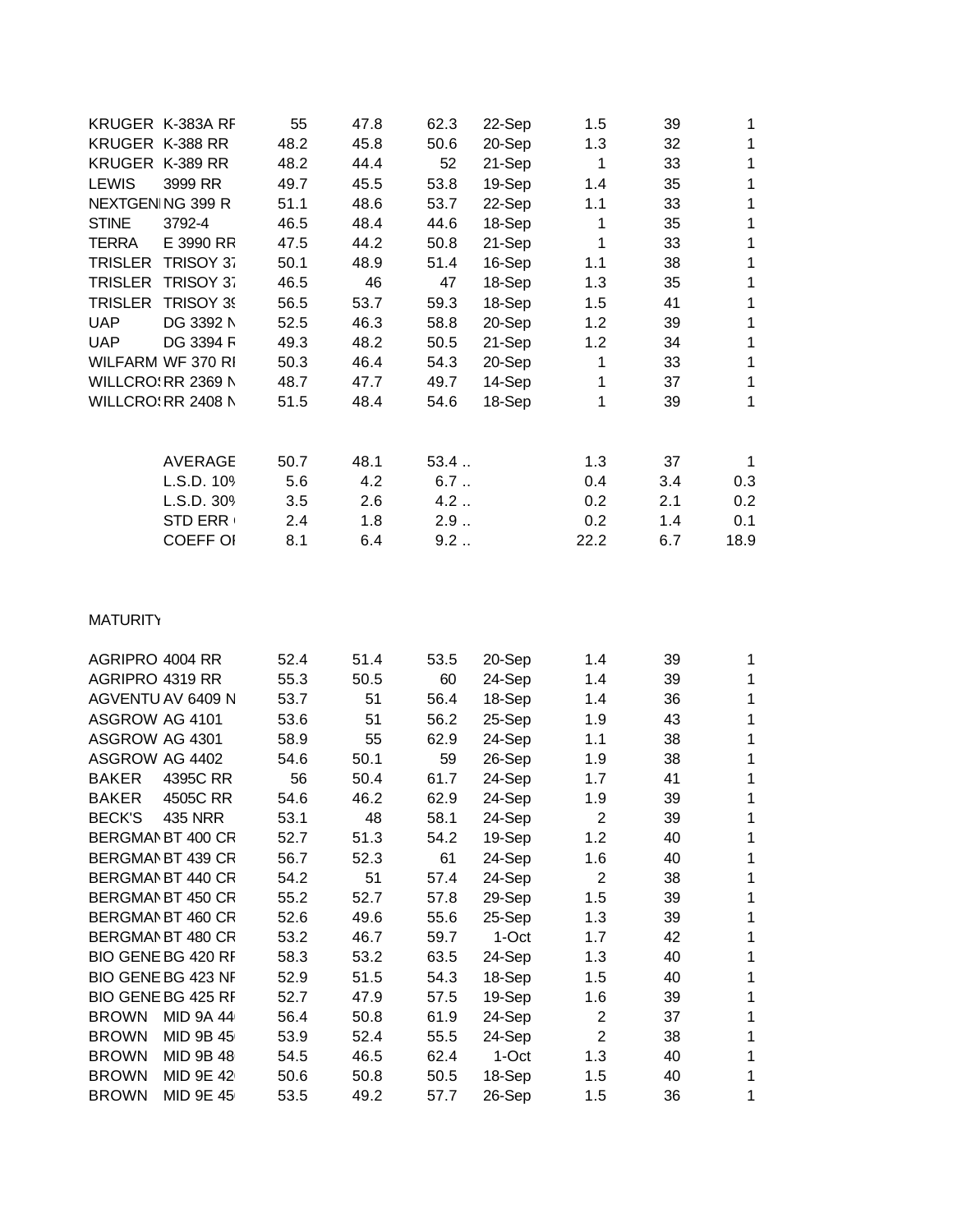| KRUGER K-383A RF   |                  | 55   | 47.8 | 62.3 | 22-Sep | 1.5  | 39  | 1    |
|--------------------|------------------|------|------|------|--------|------|-----|------|
| KRUGER K-388 RR    |                  | 48.2 | 45.8 | 50.6 | 20-Sep | 1.3  | 32  | 1    |
| KRUGER K-389 RR    |                  | 48.2 | 44.4 | 52   | 21-Sep | 1    | 33  | 1    |
| <b>LEWIS</b>       | 3999 RR          | 49.7 | 45.5 | 53.8 | 19-Sep | 1.4  | 35  | 1    |
| NEXTGEN NG 399 R   |                  | 51.1 | 48.6 | 53.7 | 22-Sep | 1.1  | 33  | 1    |
| <b>STINE</b>       | 3792-4           | 46.5 | 48.4 | 44.6 | 18-Sep | 1    | 35  | 1    |
| TERRA              | E 3990 RR        | 47.5 | 44.2 | 50.8 | 21-Sep | 1    | 33  |      |
| <b>TRISLER</b>     | <b>TRISOY 37</b> | 50.1 | 48.9 | 51.4 | 16-Sep | 1.1  | 38  | 1    |
| TRISLER TRISOY 37  |                  | 46.5 | 46   | 47   | 18-Sep | 1.3  | 35  | 1    |
| <b>TRISLER</b>     | TRISOY 39        | 56.5 | 53.7 | 59.3 | 18-Sep | 1.5  | 41  | 1    |
| <b>UAP</b>         | DG 3392 N        | 52.5 | 46.3 | 58.8 | 20-Sep | 1.2  | 39  | 1    |
| <b>UAP</b>         | DG 3394 F        | 49.3 | 48.2 | 50.5 | 21-Sep | 1.2  | 34  | 1    |
| WILFARM WF 370 RI  |                  | 50.3 | 46.4 | 54.3 | 20-Sep | 1    | 33  | 1    |
| WILLCRO: RR 2369 N |                  | 48.7 | 47.7 | 49.7 | 14-Sep | 1    | 37  | 1    |
| WILLCRO: RR 2408 N |                  | 51.5 | 48.4 | 54.6 | 18-Sep | 1    | 39  | 1    |
|                    | AVERAGE          | 50.7 | 48.1 | 53.4 |        | 1.3  | 37  | 1    |
|                    | L.S.D. 109       | 5.6  | 4.2  | 6.7  |        | 0.4  | 3.4 | 0.3  |
|                    | L.S.D. 309       | 3.5  | 2.6  | 4.2  |        | 0.2  | 2.1 | 0.2  |
|                    | <b>STD ERR</b>   | 2.4  | 1.8  | 2.9  |        | 0.2  | 1.4 | 0.1  |
|                    | <b>COEFF OI</b>  | 8.1  | 6.4  | 9.2  |        | 22.2 | 6.7 | 18.9 |
|                    |                  |      |      |      |        |      |     |      |

## **MATURITY**

| AGRIPRO 4004 RR                  | 52.4 | 51.4 | 53.5 | 20-Sep | 1.4            | 39 | 1 |
|----------------------------------|------|------|------|--------|----------------|----|---|
| AGRIPRO 4319 RR                  | 55.3 | 50.5 | 60   | 24-Sep | 1.4            | 39 | 1 |
| AGVENTU AV 6409 N                | 53.7 | 51   | 56.4 | 18-Sep | 1.4            | 36 | 1 |
| ASGROW AG 4101                   | 53.6 | 51   | 56.2 | 25-Sep | 1.9            | 43 | 1 |
| ASGROW AG 4301                   | 58.9 | 55   | 62.9 | 24-Sep | 1.1            | 38 | 1 |
| ASGROW AG 4402                   | 54.6 | 50.1 | 59   | 26-Sep | 1.9            | 38 | 1 |
| <b>BAKER</b><br>4395C RR         | 56   | 50.4 | 61.7 | 24-Sep | 1.7            | 41 | 1 |
| BAKER<br>4505C RR                | 54.6 | 46.2 | 62.9 | 24-Sep | 1.9            | 39 | 1 |
| <b>BECK'S</b><br>435 NRR         | 53.1 | 48   | 58.1 | 24-Sep | $\overline{2}$ | 39 | 1 |
| BERGMAN BT 400 CR                | 52.7 | 51.3 | 54.2 | 19-Sep | 1.2            | 40 | 1 |
| BERGMAN BT 439 CR                | 56.7 | 52.3 | 61   | 24-Sep | 1.6            | 40 | 1 |
| BERGMAN BT 440 CR                | 54.2 | 51   | 57.4 | 24-Sep | 2              | 38 | 1 |
| BERGMAN BT 450 CR                | 55.2 | 52.7 | 57.8 | 29-Sep | 1.5            | 39 | 1 |
| BERGMAN BT 460 CR                | 52.6 | 49.6 | 55.6 | 25-Sep | 1.3            | 39 | 1 |
| BERGMAN BT 480 CR                | 53.2 | 46.7 | 59.7 | 1-Oct  | 1.7            | 42 | 1 |
| BIO GENE BG 420 RF               | 58.3 | 53.2 | 63.5 | 24-Sep | 1.3            | 40 | 1 |
| BIO GENE BG 423 NF               | 52.9 | 51.5 | 54.3 | 18-Sep | 1.5            | 40 | 1 |
| BIO GENE BG 425 RF               | 52.7 | 47.9 | 57.5 | 19-Sep | 1.6            | 39 | 1 |
| <b>BROWN</b><br><b>MID 9A 44</b> | 56.4 | 50.8 | 61.9 | 24-Sep | 2              | 37 | 1 |
| <b>BROWN</b><br>MID 9B 45        | 53.9 | 52.4 | 55.5 | 24-Sep | 2              | 38 | 1 |
| <b>BROWN</b><br>MID 9B 48        | 54.5 | 46.5 | 62.4 | 1-Oct  | 1.3            | 40 | 1 |
| <b>BROWN</b><br>MID 9E 42        | 50.6 | 50.8 | 50.5 | 18-Sep | 1.5            | 40 | 1 |
| <b>BROWN</b><br>MID 9E 45        | 53.5 | 49.2 | 57.7 | 26-Sep | 1.5            | 36 | 1 |